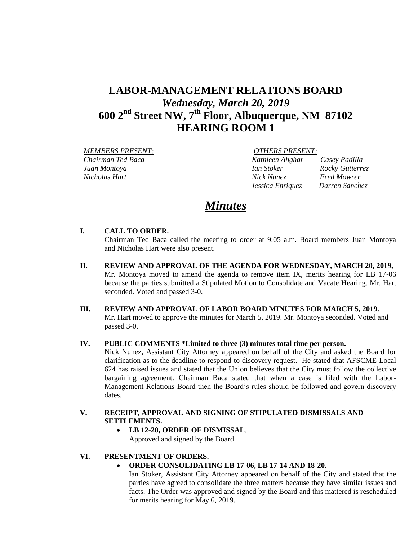# **LABOR-MANAGEMENT RELATIONS BOARD** *Wednesday, March 20, 2019* **600 2nd Street NW, 7th Floor, Albuquerque, NM 87102 HEARING ROOM 1**

 *MEMBERS PRESENT: OTHERS PRESENT:*

 *Chairman Ted Baca Kathleen Ahghar Casey Padilla Juan Montoya Ian Stoker Rocky Gutierrez Nicholas Hart Nick Nunez Fred Mowrer Jessica Enriquez Darren Sanchez* 

# *Minutes*

## **I. CALL TO ORDER.**

Chairman Ted Baca called the meeting to order at 9:05 a.m. Board members Juan Montoya and Nicholas Hart were also present.

**II. REVIEW AND APPROVAL OF THE AGENDA FOR WEDNESDAY, MARCH 20, 2019,** Mr. Montoya moved to amend the agenda to remove item IX, merits hearing for LB 17-06 because the parties submitted a Stipulated Motion to Consolidate and Vacate Hearing. Mr. Hart seconded. Voted and passed 3-0.

## **III. REVIEW AND APPROVAL OF LABOR BOARD MINUTES FOR MARCH 5, 2019.** Mr. Hart moved to approve the minutes for March 5, 2019. Mr. Montoya seconded. Voted and passed 3-0.

## **IV. PUBLIC COMMENTS \*Limited to three (3) minutes total time per person.**

Nick Nunez, Assistant City Attorney appeared on behalf of the City and asked the Board for clarification as to the deadline to respond to discovery request. He stated that AFSCME Local 624 has raised issues and stated that the Union believes that the City must follow the collective bargaining agreement. Chairman Baca stated that when a case is filed with the Labor-Management Relations Board then the Board's rules should be followed and govern discovery dates.

## **V. RECEIPT, APPROVAL AND SIGNING OF STIPULATED DISMISSALS AND SETTLEMENTS.**

 **LB 12-20, ORDER OF DISMISSAL**. Approved and signed by the Board.

## **VI. PRESENTMENT OF ORDERS.**

**ORDER CONSOLIDATING LB 17-06, LB 17-14 AND 18-20.**

Ian Stoker, Assistant City Attorney appeared on behalf of the City and stated that the parties have agreed to consolidate the three matters because they have similar issues and facts. The Order was approved and signed by the Board and this mattered is rescheduled for merits hearing for May 6, 2019.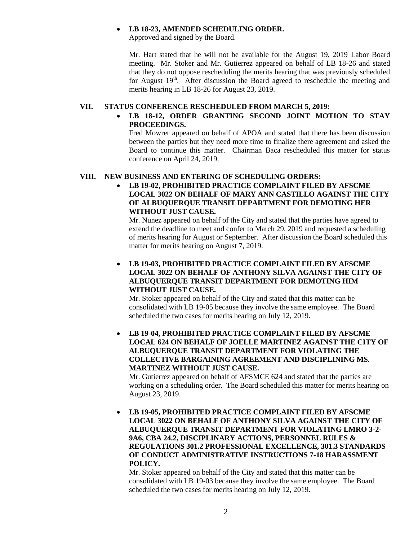#### **LB 18-23, AMENDED SCHEDULING ORDER.**

Approved and signed by the Board.

Mr. Hart stated that he will not be available for the August 19, 2019 Labor Board meeting. Mr. Stoker and Mr. Gutierrez appeared on behalf of LB 18-26 and stated that they do not oppose rescheduling the merits hearing that was previously scheduled for August  $19<sup>th</sup>$ . After discussion the Board agreed to reschedule the meeting and merits hearing in LB 18-26 for August 23, 2019.

#### **VII. STATUS CONFERENCE RESCHEDULED FROM MARCH 5, 2019:**

# **LB 18-12, ORDER GRANTING SECOND JOINT MOTION TO STAY PROCEEDINGS.**

Fred Mowrer appeared on behalf of APOA and stated that there has been discussion between the parties but they need more time to finalize there agreement and asked the Board to continue this matter. Chairman Baca rescheduled this matter for status conference on April 24, 2019.

## **VIII. NEW BUSINESS AND ENTERING OF SCHEDULING ORDERS:**

 **LB 19-02, PROHIBITED PRACTICE COMPLAINT FILED BY AFSCME LOCAL 3022 ON BEHALF OF MARY ANN CASTILLO AGAINST THE CITY OF ALBUQUERQUE TRANSIT DEPARTMENT FOR DEMOTING HER WITHOUT JUST CAUSE.**

Mr. Nunez appeared on behalf of the City and stated that the parties have agreed to extend the deadline to meet and confer to March 29, 2019 and requested a scheduling of merits hearing for August or September. After discussion the Board scheduled this matter for merits hearing on August 7, 2019.

 **LB 19-03, PROHIBITED PRACTICE COMPLAINT FILED BY AFSCME LOCAL 3022 ON BEHALF OF ANTHONY SILVA AGAINST THE CITY OF ALBUQUERQUE TRANSIT DEPARTMENT FOR DEMOTING HIM WITHOUT JUST CAUSE.**

Mr. Stoker appeared on behalf of the City and stated that this matter can be consolidated with LB 19-05 because they involve the same employee. The Board scheduled the two cases for merits hearing on July 12, 2019.

 **LB 19-04, PROHIBITED PRACTICE COMPLAINT FILED BY AFSCME LOCAL 624 ON BEHALF OF JOELLE MARTINEZ AGAINST THE CITY OF ALBUQUERQUE TRANSIT DEPARTMENT FOR VIOLATING THE COLLECTIVE BARGAINING AGREEMENT AND DISCIPLINING MS. MARTINEZ WITHOUT JUST CAUSE.**

Mr. Gutierrez appeared on behalf of AFSMCE 624 and stated that the parties are working on a scheduling order. The Board scheduled this matter for merits hearing on August 23, 2019.

 **LB 19-05, PROHIBITED PRACTICE COMPLAINT FILED BY AFSCME LOCAL 3022 ON BEHALF OF ANTHONY SILVA AGAINST THE CITY OF ALBUQUERQUE TRANSIT DEPARTMENT FOR VIOLATING LMRO 3-2- 9A6, CBA 24.2, DISCIPLINARY ACTIONS, PERSONNEL RULES & REGULATIONS 301.2 PROFESSIONAL EXCELLENCE, 301.3 STANDARDS OF CONDUCT ADMINISTRATIVE INSTRUCTIONS 7-18 HARASSMENT POLICY.** 

Mr. Stoker appeared on behalf of the City and stated that this matter can be consolidated with LB 19-03 because they involve the same employee. The Board scheduled the two cases for merits hearing on July 12, 2019.